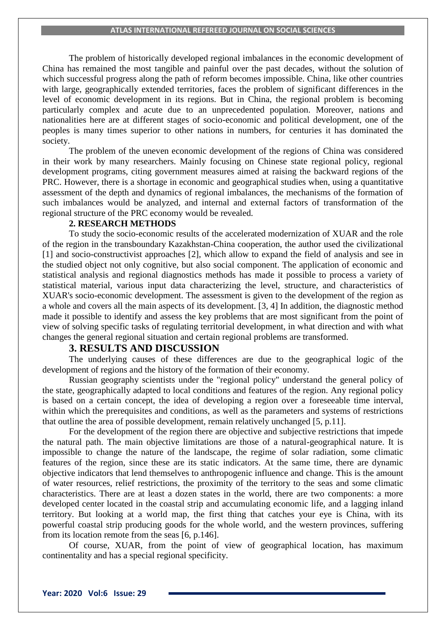The problem of historically developed regional imbalances in the economic development of China has remained the most tangible and painful over the past decades, without the solution of which successful progress along the path of reform becomes impossible. China, like other countries with large, geographically extended territories, faces the problem of significant differences in the level of economic development in its regions. But in China, the regional problem is becoming particularly complex and acute due to an unprecedented population. Moreover, nations and nationalities here are at different stages of socio-economic and political development, one of the peoples is many times superior to other nations in numbers, for centuries it has dominated the society.

The problem of the uneven economic development of the regions of China was considered in their work by many researchers. Mainly focusing on Chinese state regional policy, regional development programs, citing government measures aimed at raising the backward regions of the PRC. However, there is a shortage in economic and geographical studies when, using a quantitative assessment of the depth and dynamics of regional imbalances, the mechanisms of the formation of such imbalances would be analyzed, and internal and external factors of transformation of the regional structure of the PRC economy would be revealed.

### **2. RESEARCH METHODS**

To study the socio-economic results of the accelerated modernization of XUAR and the role of the region in the transboundary Kazakhstan-China cooperation, the author used the civilizational [1] and socio-constructivist approaches [2], which allow to expand the field of analysis and see in the studied object not only cognitive, but also social component. The application of economic and statistical analysis and regional diagnostics methods has made it possible to process a variety of statistical material, various input data characterizing the level, structure, and characteristics of XUAR's socio-economic development. The assessment is given to the development of the region as a whole and covers all the main aspects of its development. [3, 4] In addition, the diagnostic method made it possible to identify and assess the key problems that are most significant from the point of view of solving specific tasks of regulating territorial development, in what direction and with what changes the general regional situation and certain regional problems are transformed.

# **3. RESULTS AND DISCUSSION**

The underlying causes of these differences are due to the geographical logic of the development of regions and the history of the formation of their economy.

Russian geography scientists under the "regional policy" understand the general policy of the state, geographically adapted to local conditions and features of the region. Any regional policy is based on a certain concept, the idea of developing a region over a foreseeable time interval, within which the prerequisites and conditions, as well as the parameters and systems of restrictions that outline the area of possible development, remain relatively unchanged [5, p.11].

For the development of the region there are objective and subjective restrictions that impede the natural path. The main objective limitations are those of a natural-geographical nature. It is impossible to change the nature of the landscape, the regime of solar radiation, some climatic features of the region, since these are its static indicators. At the same time, there are dynamic objective indicators that lend themselves to anthropogenic influence and change. This is the amount of water resources, relief restrictions, the proximity of the territory to the seas and some climatic characteristics. There are at least a dozen states in the world, there are two components: a more developed center located in the coastal strip and accumulating economic life, and a lagging inland territory. But looking at a world map, the first thing that catches your eye is China, with its powerful coastal strip producing goods for the whole world, and the western provinces, suffering from its location remote from the seas [6, p.146].

Of course, XUAR, from the point of view of geographical location, has maximum continentality and has a special regional specificity.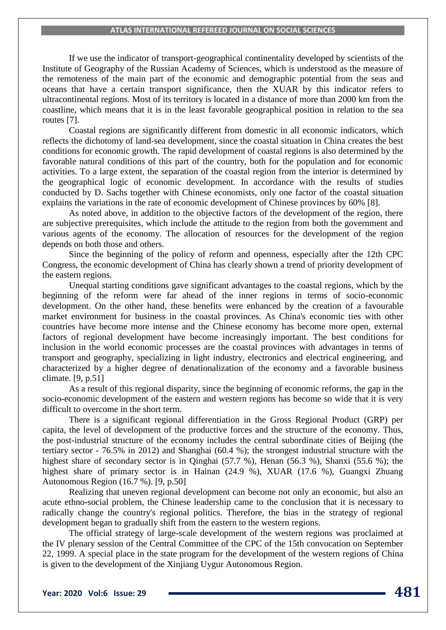If we use the indicator of transport-geographical continentality developed by scientists of the Institute of Geography of the Russian Academy of Sciences, which is understood as the measure of the remoteness of the main part of the economic and demographic potential from the seas and oceans that have a certain transport significance, then the XUAR by this indicator refers to ultracontinental regions. Most of its territory is located in a distance of more than 2000 km from the coastline, which means that it is in the least favorable geographical position in relation to the sea routes [7].

Coastal regions are significantly different from domestic in all economic indicators, which reflects the dichotomy of land-sea development, since the coastal situation in China creates the best conditions for economic growth. The rapid development of coastal regions is also determined by the favorable natural conditions of this part of the country, both for the population and for economic activities. To a large extent, the separation of the coastal region from the interior is determined by the geographical logic of economic development. In accordance with the results of studies conducted by D. Sachs together with Chinese economists, only one factor of the coastal situation explains the variations in the rate of economic development of Chinese provinces by 60% [8].

As noted above, in addition to the objective factors of the development of the region, there are subjective prerequisites, which include the attitude to the region from both the government and various agents of the economy. The allocation of resources for the development of the region depends on both those and others.

Since the beginning of the policy of reform and openness, especially after the 12th CPC Congress, the economic development of China has clearly shown a trend of priority development of the eastern regions.

Unequal starting conditions gave significant advantages to the coastal regions, which by the beginning of the reform were far ahead of the inner regions in terms of socio-economic development. On the other hand, these benefits were enhanced by the creation of a favourable market environment for business in the coastal provinces. As China's economic ties with other countries have become more intense and the Chinese economy has become more open, external factors of regional development have become increasingly important. The best conditions for inclusion in the world economic processes are the coastal provinces with advantages in terms of transport and geography, specializing in light industry, electronics and electrical engineering, and characterized by a higher degree of denationalization of the economy and a favorable business climate. [9, p.51]

As a result of this regional disparity, since the beginning of economic reforms, the gap in the socio-economic development of the eastern and western regions has become so wide that it is very difficult to overcome in the short term.

There is a significant regional differentiation in the Gross Regional Product (GRP) per capita, the level of development of the productive forces and the structure of the economy. Thus, the post-industrial structure of the economy includes the central subordinate cities of Beijing (the tertiary sector - 76.5% in 2012) and Shanghai (60.4 %); the strongest industrial structure with the highest share of secondary sector is in Qinghai (57.7 %), Henan (56.3 %), Shanxi (55.6 %); the highest share of primary sector is in Hainan (24.9 %), XUAR (17.6 %), Guangxi Zhuang Autonomous Region (16.7 %). [9, p.50]

Realizing that uneven regional development can become not only an economic, but also an acute ethno-social problem, the Chinese leadership came to the conclusion that it is necessary to radically change the country's regional politics. Therefore, the bias in the strategy of regional development began to gradually shift from the eastern to the western regions.

The official strategy of large-scale development of the western regions was proclaimed at the IV plenary session of the Central Committee of the CPC of the 15th convocation on September 22, 1999. A special place in the state program for the development of the western regions of China is given to the development of the Xinjiang Uygur Autonomous Region.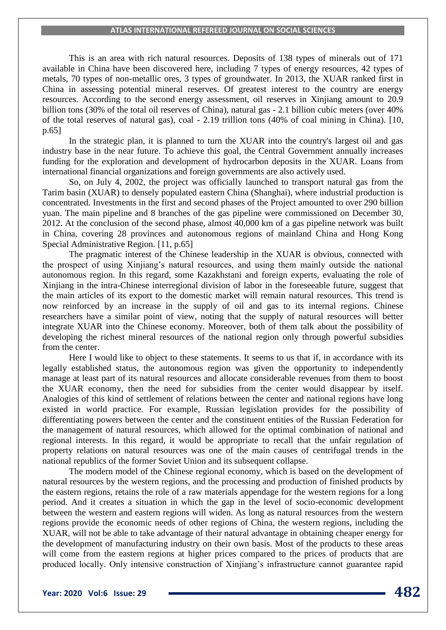This is an area with rich natural resources. Deposits of 138 types of minerals out of 171 available in China have been discovered here, including 7 types of energy resources, 42 types of metals, 70 types of non-metallic ores, 3 types of groundwater. In 2013, the XUAR ranked first in China in assessing potential mineral reserves. Of greatest interest to the country are energy resources. According to the second energy assessment, oil reserves in Xinjiang amount to 20.9 billion tons (30% of the total oil reserves of China), natural gas - 2.1 billion cubic meters (over 40% of the total reserves of natural gas), coal - 2.19 trillion tons (40% of coal mining in China). [10, p.65]

In the strategic plan, it is planned to turn the XUAR into the country's largest oil and gas industry base in the near future. To achieve this goal, the Central Government annually increases funding for the exploration and development of hydrocarbon deposits in the XUAR. Loans from international financial organizations and foreign governments are also actively used.

So, on July 4, 2002, the project was officially launched to transport natural gas from the Tarim basin (XUAR) to densely populated eastern China (Shanghai), where industrial production is concentrated. Investments in the first and second phases of the Project amounted to over 290 billion yuan. The main pipeline and 8 branches of the gas pipeline were commissioned on December 30, 2012. At the conclusion of the second phase, almost 40,000 km of a gas pipeline network was built in China, covering 28 provinces and autonomous regions of mainland China and Hong Kong Special Administrative Region. [11, p.65]

The pragmatic interest of the Chinese leadership in the XUAR is obvious, connected with the prospect of using Xinjiang's natural resources, and using them mainly outside the national autonomous region. In this regard, some Kazakhstani and foreign experts, evaluating the role of Xinjiang in the intra-Chinese interregional division of labor in the foreseeable future, suggest that the main articles of its export to the domestic market will remain natural resources. This trend is now reinforced by an increase in the supply of oil and gas to its internal regions. Chinese researchers have a similar point of view, noting that the supply of natural resources will better integrate XUAR into the Chinese economy. Moreover, both of them talk about the possibility of developing the richest mineral resources of the national region only through powerful subsidies from the center.

Here I would like to object to these statements. It seems to us that if, in accordance with its legally established status, the autonomous region was given the opportunity to independently manage at least part of its natural resources and allocate considerable revenues from them to boost the XUAR economy, then the need for subsidies from the center would disappear by itself. Analogies of this kind of settlement of relations between the center and national regions have long existed in world practice. For example, Russian legislation provides for the possibility of differentiating powers between the center and the constituent entities of the Russian Federation for the management of natural resources, which allowed for the optimal combination of national and regional interests. In this regard, it would be appropriate to recall that the unfair regulation of property relations on natural resources was one of the main causes of centrifugal trends in the national republics of the former Soviet Union and its subsequent collapse.

The modern model of the Chinese regional economy, which is based on the development of natural resources by the western regions, and the processing and production of finished products by the eastern regions, retains the role of a raw materials appendage for the western regions for a long period. And it creates a situation in which the gap in the level of socio-economic development between the western and eastern regions will widen. As long as natural resources from the western regions provide the economic needs of other regions of China, the western regions, including the XUAR, will not be able to take advantage of their natural advantage in obtaining cheaper energy for the development of manufacturing industry on their own basis. Most of the products to these areas will come from the eastern regions at higher prices compared to the prices of products that are produced locally. Only intensive construction of Xinjiang's infrastructure cannot guarantee rapid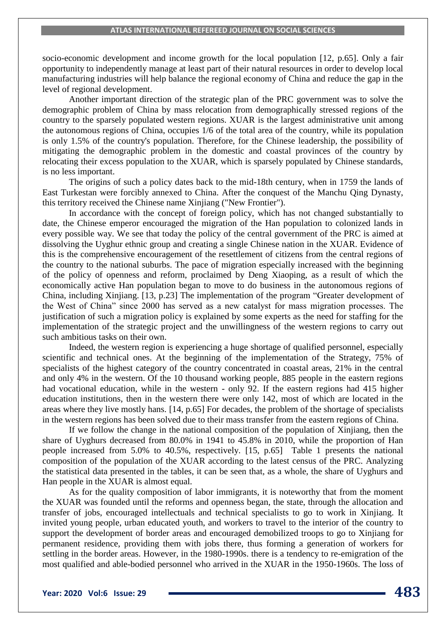socio-economic development and income growth for the local population [12, p.65]. Only a fair opportunity to independently manage at least part of their natural resources in order to develop local manufacturing industries will help balance the regional economy of China and reduce the gap in the level of regional development.

Another important direction of the strategic plan of the PRC government was to solve the demographic problem of China by mass relocation from demographically stressed regions of the country to the sparsely populated western regions. XUAR is the largest administrative unit among the autonomous regions of China, occupies 1/6 of the total area of the country, while its population is only 1.5% of the country's population. Therefore, for the Chinese leadership, the possibility of mitigating the demographic problem in the domestic and coastal provinces of the country by relocating their excess population to the XUAR, which is sparsely populated by Chinese standards, is no less important.

The origins of such a policy dates back to the mid-18th century, when in 1759 the lands of East Turkestan were forcibly annexed to China. After the conquest of the Manchu Qing Dynasty, this territory received the Chinese name Xinjiang ("New Frontier").

In accordance with the concept of foreign policy, which has not changed substantially to date, the Chinese emperor encouraged the migration of the Han population to colonized lands in every possible way. We see that today the policy of the central government of the PRC is aimed at dissolving the Uyghur ethnic group and creating a single Chinese nation in the XUAR. Evidence of this is the comprehensive encouragement of the resettlement of citizens from the central regions of the country to the national suburbs. The pace of migration especially increased with the beginning of the policy of openness and reform, proclaimed by Deng Xiaoping, as a result of which the economically active Han population began to move to do business in the autonomous regions of China, including Xinjiang. [13, p.23] The implementation of the program "Greater development of the West of China" since 2000 has served as a new catalyst for mass migration processes. The justification of such a migration policy is explained by some experts as the need for staffing for the implementation of the strategic project and the unwillingness of the western regions to carry out such ambitious tasks on their own.

Indeed, the western region is experiencing a huge shortage of qualified personnel, especially scientific and technical ones. At the beginning of the implementation of the Strategy, 75% of specialists of the highest category of the country concentrated in coastal areas, 21% in the central and only 4% in the western. Of the 10 thousand working people, 885 people in the eastern regions had vocational education, while in the western - only 92. If the eastern regions had 415 higher education institutions, then in the western there were only 142, most of which are located in the areas where they live mostly hans. [14, p.65] For decades, the problem of the shortage of specialists in the western regions has been solved due to their mass transfer from the eastern regions of China.

If we follow the change in the national composition of the population of Xinjiang, then the share of Uyghurs decreased from 80.0% in 1941 to 45.8% in 2010, while the proportion of Han people increased from 5.0% to 40.5%, respectively. [15, p.65] Table 1 presents the national composition of the population of the XUAR according to the latest census of the PRC. Analyzing the statistical data presented in the tables, it can be seen that, as a whole, the share of Uyghurs and Han people in the XUAR is almost equal.

As for the quality composition of labor immigrants, it is noteworthy that from the moment the XUAR was founded until the reforms and openness began, the state, through the allocation and transfer of jobs, encouraged intellectuals and technical specialists to go to work in Xinjiang. It invited young people, urban educated youth, and workers to travel to the interior of the country to support the development of border areas and encouraged demobilized troops to go to Xinjiang for permanent residence, providing them with jobs there, thus forming a generation of workers for settling in the border areas. However, in the 1980-1990s. there is a tendency to re-emigration of the most qualified and able-bodied personnel who arrived in the XUAR in the 1950-1960s. The loss of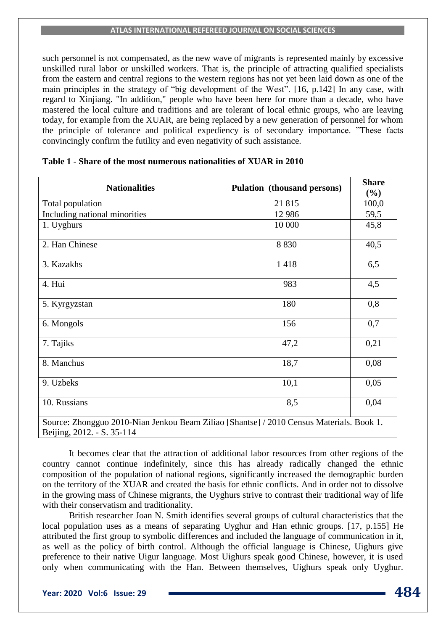such personnel is not compensated, as the new wave of migrants is represented mainly by excessive unskilled rural labor or unskilled workers. That is, the principle of attracting qualified specialists from the eastern and central regions to the western regions has not yet been laid down as one of the main principles in the strategy of "big development of the West". [16, p.142] In any case, with regard to Xinjiang. "In addition," people who have been here for more than a decade, who have mastered the local culture and traditions and are tolerant of local ethnic groups, who are leaving today, for example from the XUAR, are being replaced by a new generation of personnel for whom the principle of tolerance and political expediency is of secondary importance. "These facts convincingly confirm the futility and even negativity of such assistance.

| <b>Nationalities</b>                                                                                                   | <b>Pulation</b> (thousand persons) | <b>Share</b><br>$(\%)$ |
|------------------------------------------------------------------------------------------------------------------------|------------------------------------|------------------------|
| Total population                                                                                                       | 21815                              | 100,0                  |
| Including national minorities                                                                                          | 12 9 8 6                           | 59,5                   |
| 1. Uyghurs                                                                                                             | 10 000                             | 45,8                   |
| 2. Han Chinese                                                                                                         | 8 8 3 0                            | 40,5                   |
| 3. Kazakhs                                                                                                             | 1418                               | 6,5                    |
| 4. Hui                                                                                                                 | 983                                | 4,5                    |
| 5. Kyrgyzstan                                                                                                          | 180                                | 0,8                    |
| 6. Mongols                                                                                                             | 156                                | 0,7                    |
| 7. Tajiks                                                                                                              | 47,2                               | 0,21                   |
| 8. Manchus                                                                                                             | 18,7                               | 0,08                   |
| 9. Uzbeks                                                                                                              | 10,1                               | 0,05                   |
| 10. Russians                                                                                                           | 8,5                                | 0,04                   |
| Source: Zhongguo 2010-Nian Jenkou Beam Ziliao [Shantse] / 2010 Census Materials. Book 1.<br>Beijing, 2012. - S. 35-114 |                                    |                        |

## **Table 1 - Share of the most numerous nationalities of XUAR in 2010**

It becomes clear that the attraction of additional labor resources from other regions of the country cannot continue indefinitely, since this has already radically changed the ethnic composition of the population of national regions, significantly increased the demographic burden on the territory of the XUAR and created the basis for ethnic conflicts. And in order not to dissolve in the growing mass of Chinese migrants, the Uyghurs strive to contrast their traditional way of life with their conservatism and traditionality.

British researcher Joan N. Smith identifies several groups of cultural characteristics that the local population uses as a means of separating Uyghur and Han ethnic groups. [17, p.155] He attributed the first group to symbolic differences and included the language of communication in it, as well as the policy of birth control. Although the official language is Chinese, Uighurs give preference to their native Uigur language. Most Uighurs speak good Chinese, however, it is used only when communicating with the Han. Between themselves, Uighurs speak only Uyghur.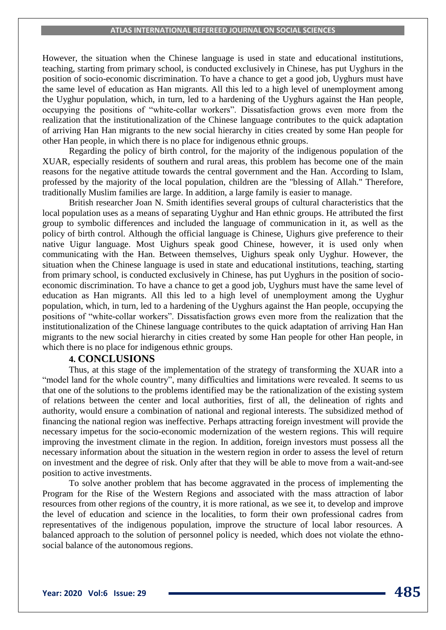However, the situation when the Chinese language is used in state and educational institutions, teaching, starting from primary school, is conducted exclusively in Chinese, has put Uyghurs in the position of socio-economic discrimination. To have a chance to get a good job, Uyghurs must have the same level of education as Han migrants. All this led to a high level of unemployment among the Uyghur population, which, in turn, led to a hardening of the Uyghurs against the Han people, occupying the positions of "white-collar workers". Dissatisfaction grows even more from the realization that the institutionalization of the Chinese language contributes to the quick adaptation of arriving Han Han migrants to the new social hierarchy in cities created by some Han people for other Han people, in which there is no place for indigenous ethnic groups.

Regarding the policy of birth control, for the majority of the indigenous population of the XUAR, especially residents of southern and rural areas, this problem has become one of the main reasons for the negative attitude towards the central government and the Han. According to Islam, professed by the majority of the local population, children are the "blessing of Allah." Therefore, traditionally Muslim families are large. In addition, a large family is easier to manage.

British researcher Joan N. Smith identifies several groups of cultural characteristics that the local population uses as a means of separating Uyghur and Han ethnic groups. He attributed the first group to symbolic differences and included the language of communication in it, as well as the policy of birth control. Although the official language is Chinese, Uighurs give preference to their native Uigur language. Most Uighurs speak good Chinese, however, it is used only when communicating with the Han. Between themselves, Uighurs speak only Uyghur. However, the situation when the Chinese language is used in state and educational institutions, teaching, starting from primary school, is conducted exclusively in Chinese, has put Uyghurs in the position of socioeconomic discrimination. To have a chance to get a good job, Uyghurs must have the same level of education as Han migrants. All this led to a high level of unemployment among the Uyghur population, which, in turn, led to a hardening of the Uyghurs against the Han people, occupying the positions of "white-collar workers". Dissatisfaction grows even more from the realization that the institutionalization of the Chinese language contributes to the quick adaptation of arriving Han Han migrants to the new social hierarchy in cities created by some Han people for other Han people, in which there is no place for indigenous ethnic groups.

### **4. CONCLUSIONS**

Thus, at this stage of the implementation of the strategy of transforming the XUAR into a "model land for the whole country", many difficulties and limitations were revealed. It seems to us that one of the solutions to the problems identified may be the rationalization of the existing system of relations between the center and local authorities, first of all, the delineation of rights and authority, would ensure a combination of national and regional interests. The subsidized method of financing the national region was ineffective. Perhaps attracting foreign investment will provide the necessary impetus for the socio-economic modernization of the western regions. This will require improving the investment climate in the region. In addition, foreign investors must possess all the necessary information about the situation in the western region in order to assess the level of return on investment and the degree of risk. Only after that they will be able to move from a wait-and-see position to active investments.

To solve another problem that has become aggravated in the process of implementing the Program for the Rise of the Western Regions and associated with the mass attraction of labor resources from other regions of the country, it is more rational, as we see it, to develop and improve the level of education and science in the localities, to form their own professional cadres from representatives of the indigenous population, improve the structure of local labor resources. A balanced approach to the solution of personnel policy is needed, which does not violate the ethnosocial balance of the autonomous regions.